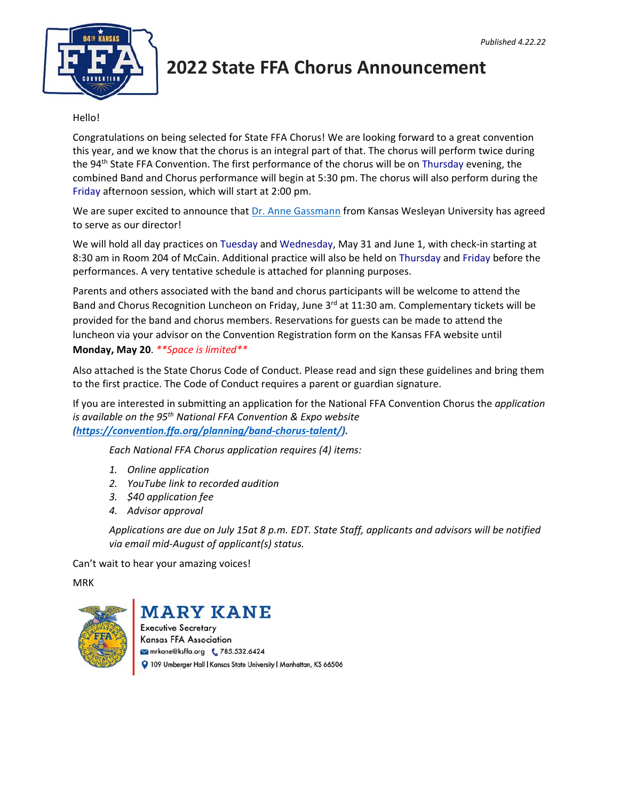

## **2022 State FFA Chorus Announcement**

#### Hello!

Congratulations on being selected for State FFA Chorus! We are looking forward to a great convention this year, and we know that the chorus is an integral part of that. The chorus will perform twice during the 94<sup>th</sup> State FFA Convention. The first performance of the chorus will be on Thursday evening, the combined Band and Chorus performance will begin at 5:30 pm. The chorus will also perform during the Friday afternoon session, which will start at 2:00 pm.

We are super excited to announce that Dr. Anne Gassmann from Kansas Wesleyan University has agreed to serve as our director!

We will hold all day practices on Tuesday and Wednesday, May 31 and June 1, with check-in starting at 8:30 am in Room 204 of McCain. Additional practice will also be held on Thursday and Friday before the performances. A very tentative schedule is attached for planning purposes.

Parents and others associated with the band and chorus participants will be welcome to attend the Band and Chorus Recognition Luncheon on Friday, June 3<sup>rd</sup> at 11:30 am. Complementary tickets will be provided for the band and chorus members. Reservations for guests can be made to attend the luncheon via your advisor on the Convention Registration form on the Kansas FFA website until **Monday, May 20**. *\*\*Space is limited\*\**

Also attached is the State Chorus Code of Conduct. Please read and sign these guidelines and bring them to the first practice. The Code of Conduct requires a parent or guardian signature.

If you are interested in submitting an application for the National FFA Convention Chorus the *application is available on the 95th National FFA Convention & Expo website (https://convention.ffa.org/planning/band‐chorus‐talent/).* 

*Each National FFA Chorus application requires (4) items:* 

- *1. Online application*
- *2. YouTube link to recorded audition*
- *3. \$40 application fee*
- *4. Advisor approval*

*Applications are due on July 15at 8 p.m. EDT. State Staff, applicants and advisors will be notified via email mid‐August of applicant(s) status.* 

Can't wait to hear your amazing voices!

MRK



### **MARY KANE**

**Executive Secretary Kansas FFA Association** mrkane@ksffa.org & 785.532.6424 109 Umberger Hall | Kansas State University | Manhattan, KS 66506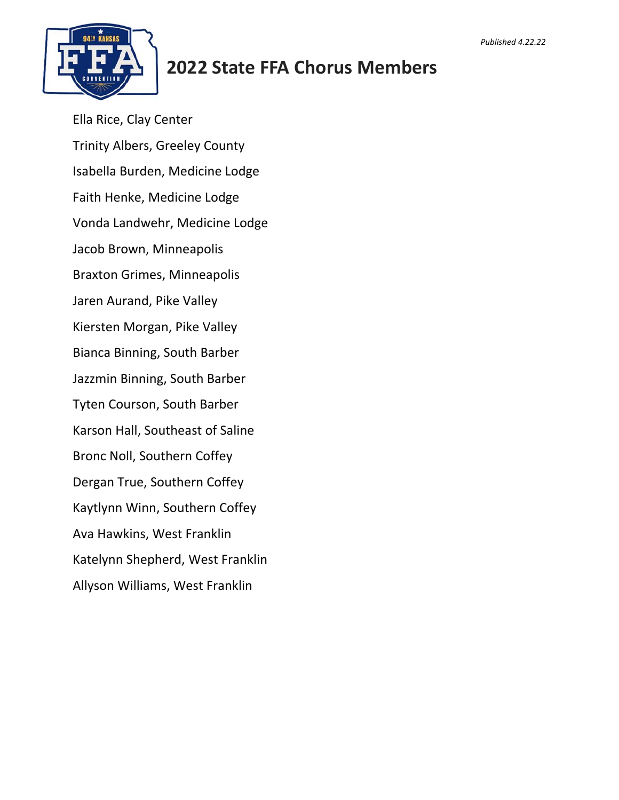

# **2022 State FFA Chorus Members**

Ella Rice, Clay Center Trinity Albers, Greeley County Isabella Burden, Medicine Lodge Faith Henke, Medicine Lodge Vonda Landwehr, Medicine Lodge Jacob Brown, Minneapolis Braxton Grimes, Minneapolis Jaren Aurand, Pike Valley Kiersten Morgan, Pike Valley Bianca Binning, South Barber Jazzmin Binning, South Barber Tyten Courson, South Barber Karson Hall, Southeast of Saline Bronc Noll, Southern Coffey Dergan True, Southern Coffey Kaytlynn Winn, Southern Coffey Ava Hawkins, West Franklin Katelynn Shepherd, West Franklin Allyson Williams, West Franklin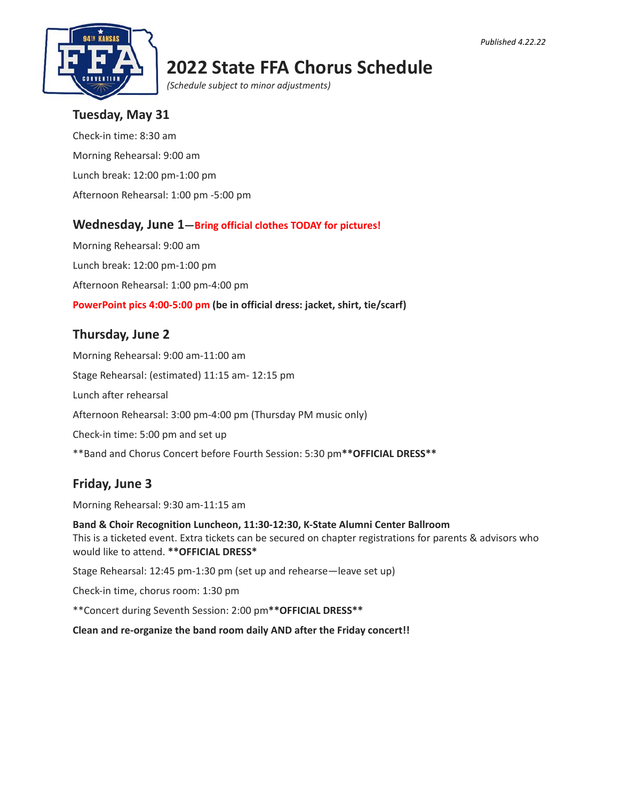

## **2022 State FFA Chorus Schedule**

*(Schedule subject to minor adjustments)*

### **Tuesday, May 31**

Check‐in time: 8:30 am Morning Rehearsal: 9:00 am Lunch break: 12:00 pm‐1:00 pm Afternoon Rehearsal: 1:00 pm ‐5:00 pm

### **Wednesday, June 1—Bring official clothes TODAY for pictures!**

Morning Rehearsal: 9:00 am Lunch break: 12:00 pm‐1:00 pm Afternoon Rehearsal: 1:00 pm‐4:00 pm **PowerPoint pics 4:00-5:00 pm (be in official dress: jacket, shirt, tie/scarf)** 

### **Thursday, June 2**

Morning Rehearsal: 9:00 am‐11:00 am Stage Rehearsal: (estimated) 11:15 am‐ 12:15 pm Lunch after rehearsal Afternoon Rehearsal: 3:00 pm‐4:00 pm (Thursday PM music only) Check‐in time: 5:00 pm and set up \*\*Band and Chorus Concert before Fourth Session: 5:30 pm**\*\*OFFICIAL DRESS\*\***

### **Friday, June 3**

Morning Rehearsal: 9:30 am‐11:15 am

**Band & Choir Recognition Luncheon, 11:30-12:30, K-State Alumni Center Ballroom**  This is a ticketed event. Extra tickets can be secured on chapter registrations for parents & advisors who would like to attend. **\*\*OFFICIAL DRESS\***

Stage Rehearsal: 12:45 pm‐1:30 pm (set up and rehearse—leave set up)

Check‐in time, chorus room: 1:30 pm

\*\*Concert during Seventh Session: 2:00 pm**\*\*OFFICIAL DRESS\*\***

**Clean and re-organize the band room daily AND after the Friday concert!!**